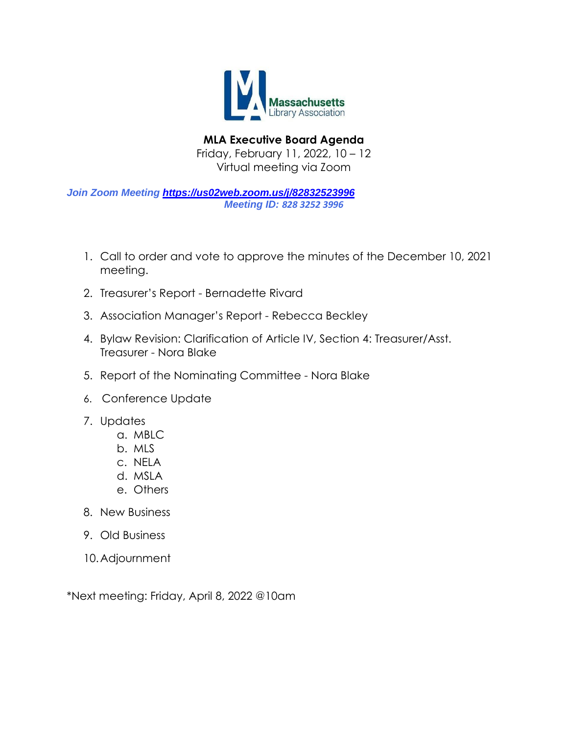

**MLA Executive Board Agenda** Friday, February 11, 2022, 10 – 12 Virtual meeting via Zoom

*Join Zoom Meeting <https://us02web.zoom.us/j/82832523996> Meeting ID: 828 3252 3996*

- 1. Call to order and vote to approve the minutes of the December 10, 2021 meeting.
- 2. Treasurer's Report Bernadette Rivard
- 3. Association Manager's Report Rebecca Beckley
- 4. Bylaw Revision: Clarification of Article IV, Section 4: Treasurer/Asst. Treasurer - Nora Blake
- 5. Report of the Nominating Committee Nora Blake
- 6. Conference Update
- 7. Updates
	- a. MBLC
	- b. MLS
	- c. NELA
	- d. MSLA
	- e. Others
- 8. New Business
- 9. Old Business
- 10.Adjournment

\*Next meeting: Friday, April 8, 2022 @10am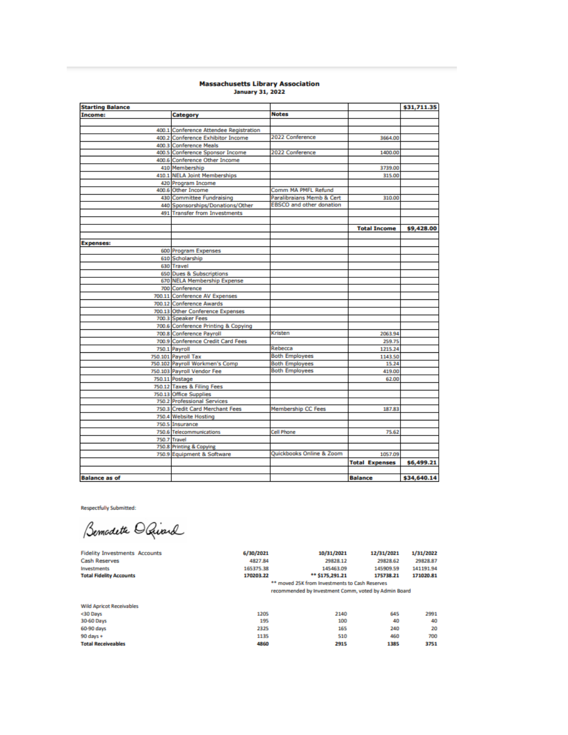# Massachusetts Library Association<br>January 31, 2022

| Income:              | Category                               |                                 |                       | \$31,711.35 |
|----------------------|----------------------------------------|---------------------------------|-----------------------|-------------|
|                      |                                        | <b>Notes</b>                    |                       |             |
|                      |                                        |                                 |                       |             |
|                      | 400.1 Conference Attendee Registration |                                 |                       |             |
|                      | 400.2 Conference Exhibitor Income      | 2022 Conference                 | 3664.00               |             |
|                      | 400.3 Conference Meals                 |                                 |                       |             |
|                      | 400.5 Conference Sponsor Income        | 2022 Conference                 | 1400.00               |             |
|                      | 400.6 Conference Other Income          |                                 |                       |             |
|                      | 410 Membership                         |                                 | 3739.00               |             |
|                      | 410.1 NELA Joint Memberships           |                                 | 315.00                |             |
|                      | 420 Program Income                     |                                 |                       |             |
|                      | 400.6 Other Income                     | Comm MA PMFL Refund             |                       |             |
|                      | 430 Committee Fundraising              | Paralibraians Memb & Cert       | 310.00                |             |
|                      | 440 Sponsorships/Donations/Other       | <b>EBSCO</b> and other donation |                       |             |
|                      | 491 Transfer from Investments          |                                 |                       |             |
|                      |                                        |                                 |                       |             |
|                      |                                        |                                 | <b>Total Income</b>   | \$9,428.00  |
|                      |                                        |                                 |                       |             |
| <b>Expenses:</b>     |                                        |                                 |                       |             |
|                      | 600 Program Expenses                   |                                 |                       |             |
|                      | 610 Scholarship                        |                                 |                       |             |
|                      | 630 Travel                             |                                 |                       |             |
|                      | 650 Dues & Subscriptions               |                                 |                       |             |
|                      | 670 NELA Membership Expense            |                                 |                       |             |
|                      | 700 Conference                         |                                 |                       |             |
|                      | 700.11 Conference AV Expenses          |                                 |                       |             |
|                      | 700.12 Conference Awards               |                                 |                       |             |
|                      | 700.13 Other Conference Expenses       |                                 |                       |             |
|                      | 700.3 Speaker Fees                     |                                 |                       |             |
|                      | 700.6 Conference Printing & Copying    |                                 |                       |             |
|                      | 700.8 Conference Payroll               | Kristen                         | 2063.94               |             |
|                      | 700.9 Conference Credit Card Fees      |                                 | 259.75                |             |
|                      | 750.1 Payroll                          | Rebecca                         | 1215.24               |             |
|                      | 750.101 Payroll Tax                    | <b>Both Employees</b>           | 1143.50               |             |
|                      | 750.102 Payroll Workmen's Comp         | <b>Both Employees</b>           | 15.24                 |             |
|                      | 750.103 Payroll Vendor Fee             | <b>Both Employees</b>           | 419.00                |             |
|                      | 750.11 Postage                         |                                 | 62.00                 |             |
|                      | 750.12 Taxes & Filing Fees             |                                 |                       |             |
|                      | 750.13 Office Supplies                 |                                 |                       |             |
|                      | 750.2 Professional Services            |                                 |                       |             |
|                      | 750.3 Credit Card Merchant Fees        | <b>Membership CC Fees</b>       | 187.83                |             |
|                      | 750.4 Website Hosting                  |                                 |                       |             |
|                      | 750.5 Insurance                        |                                 |                       |             |
|                      | 750.6 Telecommunications               | Cell Phone                      | 75.62                 |             |
|                      | 750.7 Travel                           |                                 |                       |             |
|                      | 750.8 Printing & Copying               |                                 |                       |             |
|                      | 750.9 Equipment & Software             | Quickbooks Online & Zoom        | 1057.09               |             |
|                      |                                        |                                 | <b>Total Expenses</b> | \$6,499.21  |
|                      |                                        |                                 |                       |             |
| <b>Balance as of</b> |                                        |                                 | <b>Balance</b>        | \$34,640.14 |

**Respectfully Submitted:** 

Investments<br>Total Fidelity Accounts

Bemodeth O Quard

**Fidelity Investments Accounts**<br>Cash Reserves

| 6/30/2021 | 10/31/2021                                                                                             | 12/31/2021 | 1/31/2022 |
|-----------|--------------------------------------------------------------------------------------------------------|------------|-----------|
| 4827.84   | 29828.12                                                                                               | 29828.62   | 29828.87  |
| 165375.38 | 145463.09                                                                                              | 145909.59  | 141191.94 |
| 170203.22 | ** \$175,291.21                                                                                        | 175738.21  | 171020.81 |
|           | ** moved 25K from Investments to Cash Reserves<br>recommended by Investment Comm, voted by Admin Board |            |           |
|           |                                                                                                        |            |           |

| <b>Wild Apricot Receivables</b> |      |      |      |      |
|---------------------------------|------|------|------|------|
| <30 Days                        | 1205 | 2140 | 645  | 2991 |
| 30-60 Days                      | 195  | 100  | 40   | 40   |
| 60-90 days                      | 2325 | 165  | 240  | 20   |
| 90 days +                       | 1135 | 510  | 460  | 700  |
| <b>Total Receiveables</b>       | 4860 | 2915 | 1385 | 3751 |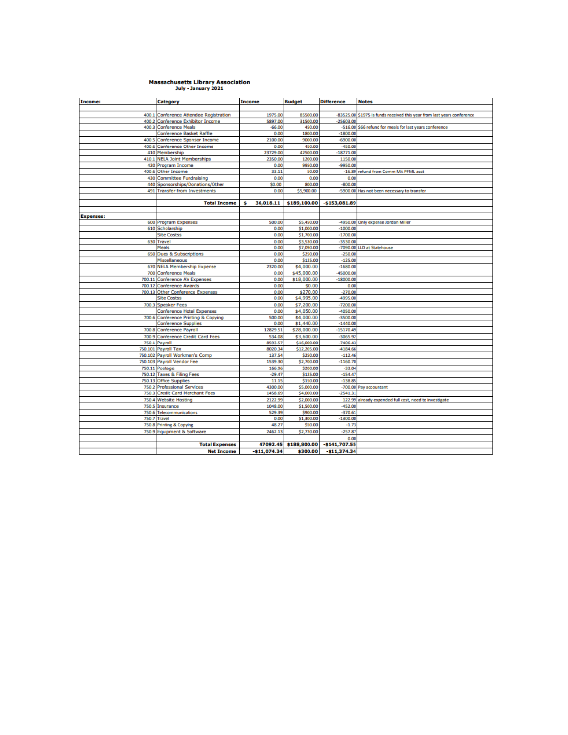## Massachusetts Library Association<br>
July - January 2021

| Income:          | Category                                | <b>Income</b>  | <b>Budget</b> | <b>Difference</b> | <b>Notes</b>                                                  |
|------------------|-----------------------------------------|----------------|---------------|-------------------|---------------------------------------------------------------|
|                  |                                         |                |               |                   |                                                               |
| 400.1            | <b>Conference Attendee Registration</b> | 1975.00        | 85500.00      | $-83525.00$       | \$1975 is funds received this year from last years conference |
|                  | 400.2 Conference Exhibitor Income       | 5897.00        | 31500.00      | $-25603.00$       |                                                               |
|                  | 400.3 Conference Meals                  | $-66.00$       | 450.00        |                   | -516.00 \$66 refund for meals for last years conference       |
|                  | Conference Basket Raffle                | 0.00           | 1800.00       | $-1800.00$        |                                                               |
|                  | 400.5 Conference Sponsor Income         | 2100.00        | 9000.00       | $-6900.00$        |                                                               |
|                  | 400.6 Conference Other Income           | 0.00           | 450.00        | $-450.00$         |                                                               |
|                  | 410 Membership                          | 23729.00       | 42500.00      | $-18771.00$       |                                                               |
|                  | 410.1 NELA Joint Memberships            | 2350.00        | 1200.00       | 1150.00           |                                                               |
|                  | 420 Program Income                      | 0.00           | 9950.00       | $-9950.00$        |                                                               |
|                  | 400.6 Other Income                      | 33.11          | 50.00         | $-16.89$          | refund from Comm MA PFML acct                                 |
| 430              | <b>Committee Fundraising</b>            | 0.00           | 0.00          | 0.00              |                                                               |
| 440              | Sponsorships/Donations/Other            | \$0.00         | 800.00        | $-800.00$         |                                                               |
|                  | 491 Transfer from Investments           | 0.00           | \$5,900.00    |                   | -5900.00 Has not been necessary to transfer                   |
|                  |                                         |                |               |                   |                                                               |
|                  | <b>Total Income</b>                     | 36,018.11<br>Ś | \$189,100.00  | $-5153,081.89$    |                                                               |
|                  |                                         |                |               |                   |                                                               |
| <b>Expenses:</b> |                                         |                |               |                   |                                                               |
|                  | 600 Program Expenses                    | 500.00         | \$5,450.00    |                   | -4950.00 Only expense Jordan Miller                           |
|                  | 610 Scholarship                         | 0.00           | \$1,000.00    | $-1000.00$        |                                                               |
|                  | <b>Site Costss</b>                      | 0.00           | \$1,700.00    | $-1700.00$        |                                                               |
|                  | 630 Travel                              | 0.00           | \$3,530.00    | $-3530.00$        |                                                               |
|                  | Meals                                   | 0.00           | \$7,090.00    |                   | -7090.00 LLD at Statehouse                                    |
|                  | 650 Dues & Subscriptions                | 0.00           | \$250.00      | $-250.00$         |                                                               |
|                  | Miscellaneous                           | 0.00           | \$125.00      | $-125.00$         |                                                               |
|                  | 670 NELA Membership Expense             | 2320.00        | \$4,000.00    | $-1680.00$        |                                                               |
|                  | 700 Conference Meals                    | 0.00           | \$45,000.00   | -45000.00         |                                                               |
|                  | 700.11 Conference AV Expenses           | 0.00           | \$18,000.00   | $-18000.00$       |                                                               |
| 700.12           | <b>Conference Awards</b>                | 0.00           | \$0.00        | 0.00              |                                                               |
|                  | 700.13 Other Conference Expenses        | 0.00           | \$270.00      | $-270.00$         |                                                               |
|                  | <b>Site Costss</b>                      | 0.00           | \$4,995.00    | $-4995.00$        |                                                               |
|                  | 700.3 Speaker Fees                      | 0.00           | \$7,200.00    | $-7200.00$        |                                                               |
|                  | <b>Conference Hotel Expenses</b>        | 0.00           | \$4,050.00    | $-4050.00$        |                                                               |
|                  | 700.6 Conference Printing & Copying     | 500.00         | \$4,000.00    | $-3500.00$        |                                                               |
|                  | <b>Conference Supplies</b>              | 0.00           | \$1,440.00    | $-1440.00$        |                                                               |
|                  | 700.8 Conference Payroll                | 12829.51       | \$28,000.00   | $-15170.49$       |                                                               |
|                  | 700.9 Conference Credit Card Fees       | 534.08         | \$3,600.00    | $-3065.92$        |                                                               |
|                  | 750.1 Payroll                           | 8593.57        | \$16,000.00   | $-7406.43$        |                                                               |
|                  | 750.101 Payroll Tax                     | 8020.34        | \$12,205.00   | $-4184.66$        |                                                               |
|                  | 750.102 Payroll Workmen's Comp          | 137.54         | \$250.00      | $-112.46$         |                                                               |
|                  | 750.103 Payroll Vendor Fee              | 1539.30        | \$2,700.00    | $-1160.70$        |                                                               |
|                  | 750.11 Postage                          | 166.96         | \$200.00      | $-33.04$          |                                                               |
|                  | 750.12 Taxes & Filing Fees              | $-29.47$       | \$125.00      | $-154.47$         |                                                               |
|                  | 750.13 Office Supplies                  | 11.15          | \$150.00      | $-138.85$         |                                                               |
|                  | 750.2 Professional Services             | 4300.00        | \$5,000.00    | $-700.00$         | Pay accountant                                                |
|                  | 750.3 Credit Card Merchant Fees         | 1458.69        | \$4,000.00    | $-2541.31$        |                                                               |
|                  | 750.4 Website Hosting                   | 2122.99        | \$2,000.00    |                   | 122.99 already expended full cost, need to investigate        |
| 750.5            | Insurance                               | 1048.00        | \$1,500.00    | $-452.00$         |                                                               |
|                  | 750.6 Telecommunications                | 529.39         | \$900.00      | $-370.61$         |                                                               |
| 750.7            | Travel                                  | 0.00           | \$1,300.00    | $-1300.00$        |                                                               |
|                  | 750.8 Printing & Copying                | 48.27          | \$50.00       | $-1.73$           |                                                               |
|                  | 750.9 Equipment & Software              | 2462.13        | \$2,720.00    | $-257.87$         |                                                               |
|                  |                                         |                |               | 0.00              |                                                               |
|                  | <b>Total Expenses</b>                   | 47092.45       | \$188,800.00  | $-5141,707.55$    |                                                               |
|                  | <b>Net Income</b>                       | $-511,074.34$  | \$300.00      | $-511,374.34$     |                                                               |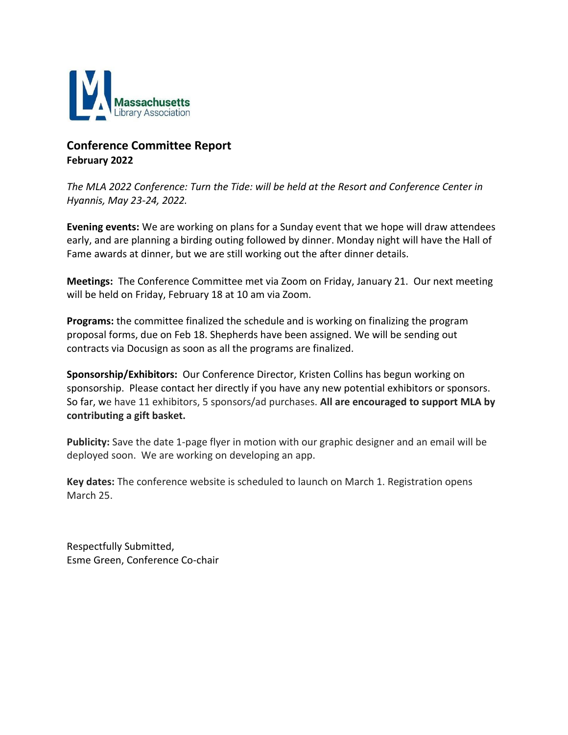

## **Conference Committee Report February 2022**

*The MLA 2022 Conference: Turn the Tide: will be held at the Resort and Conference Center in Hyannis, May 23-24, 2022.*

**Evening events:** We are working on plans for a Sunday event that we hope will draw attendees early, and are planning a birding outing followed by dinner. Monday night will have the Hall of Fame awards at dinner, but we are still working out the after dinner details.

**Meetings:** The Conference Committee met via Zoom on Friday, January 21. Our next meeting will be held on Friday, February 18 at 10 am via Zoom.

**Programs:** the committee finalized the schedule and is working on finalizing the program proposal forms, due on Feb 18. Shepherds have been assigned. We will be sending out contracts via Docusign as soon as all the programs are finalized.

**Sponsorship/Exhibitors:** Our Conference Director, Kristen Collins has begun working on sponsorship. Please contact her directly if you have any new potential exhibitors or sponsors. So far, we have 11 exhibitors, 5 sponsors/ad purchases. **All are encouraged to support MLA by contributing a gift basket.**

**Publicity:** Save the date 1-page flyer in motion with our graphic designer and an email will be deployed soon. We are working on developing an app.

**Key dates:** The conference website is scheduled to launch on March 1. Registration opens March 25.

Respectfully Submitted, Esme Green, Conference Co-chair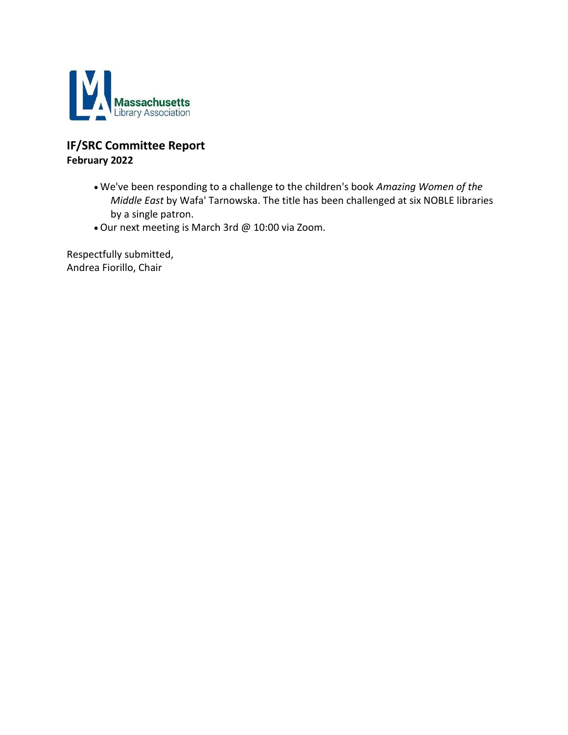

## **IF/SRC Committee Report February 2022**

- We've been responding to a challenge to the children's book *Amazing Women of the Middle East* by Wafa' Tarnowska. The title has been challenged at six NOBLE libraries by a single patron.
- Our next meeting is March 3rd @ 10:00 via Zoom.

Respectfully submitted, Andrea Fiorillo, Chair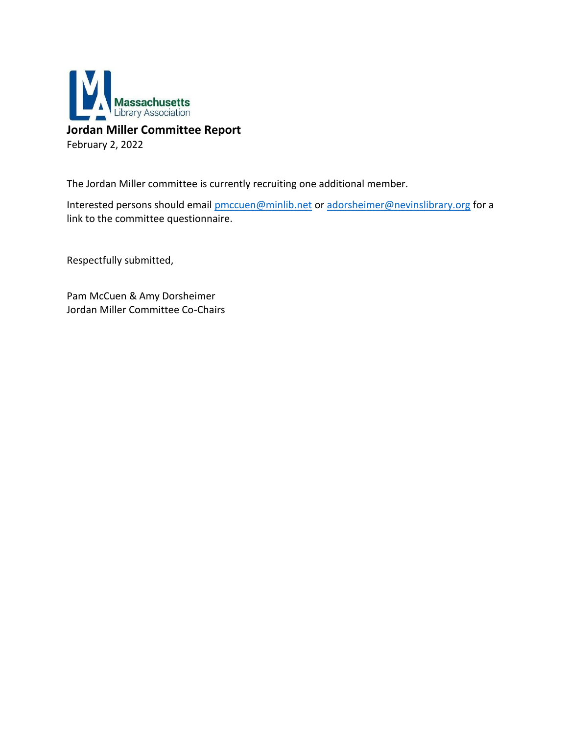

## **Jordan Miller Committee Report**

February 2, 2022

The Jordan Miller committee is currently recruiting one additional member.

Interested persons should email [pmccuen@minlib.net](mailto:pmccuen@minlib.net) or [adorsheimer@nevinslibrary.org](mailto:adorsheimer@nevinslibrary.org) for a link to the committee questionnaire.

Respectfully submitted,

Pam McCuen & Amy Dorsheimer Jordan Miller Committee Co-Chairs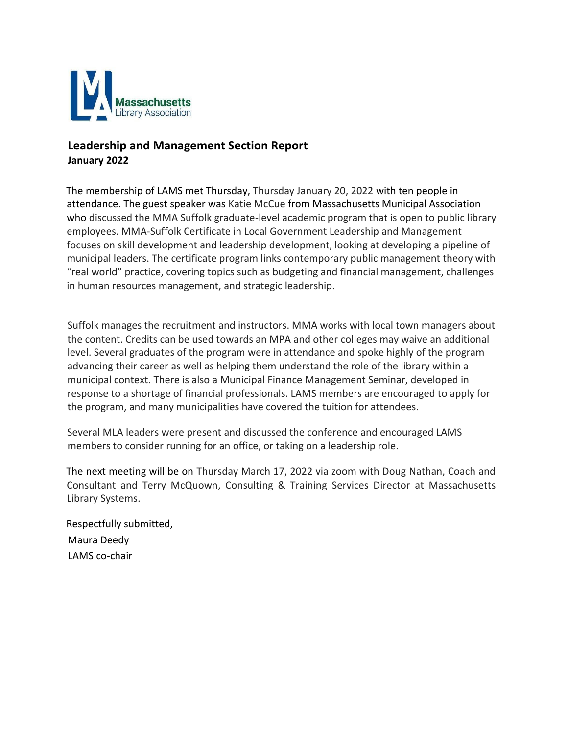

## **Leadership and Management Section Report January 2022**

The membership of LAMS met Thursday, Thursday January 20, 2022 with ten people in attendance. The guest speaker was Katie McCue from Massachusetts Municipal Association who discussed the MMA Suffolk graduate-level academic program that is open to public library employees. MMA-Suffolk Certificate in Local Government Leadership and Management focuses on skill development and leadership development, looking at developing a pipeline of municipal leaders. The certificate program links contemporary public management theory with "real world" practice, covering topics such as budgeting and financial management, challenges in human resources management, and strategic leadership.

Suffolk manages the recruitment and instructors. MMA works with local town managers about the content. Credits can be used towards an MPA and other colleges may waive an additional level. Several graduates of the program were in attendance and spoke highly of the program advancing their career as well as helping them understand the role of the library within a municipal context. There is also a Municipal Finance Management Seminar, developed in response to a shortage of financial professionals. LAMS members are encouraged to apply for the program, and many municipalities have covered the tuition for attendees.

Several MLA leaders were present and discussed the conference and encouraged LAMS members to consider running for an office, or taking on a leadership role.

The next meeting will be on Thursday March 17, 2022 via zoom with Doug Nathan, Coach and Consultant and Terry McQuown, Consulting & Training Services Director at Massachusetts Library Systems.

Respectfully submitted, Maura Deedy LAMS co-chair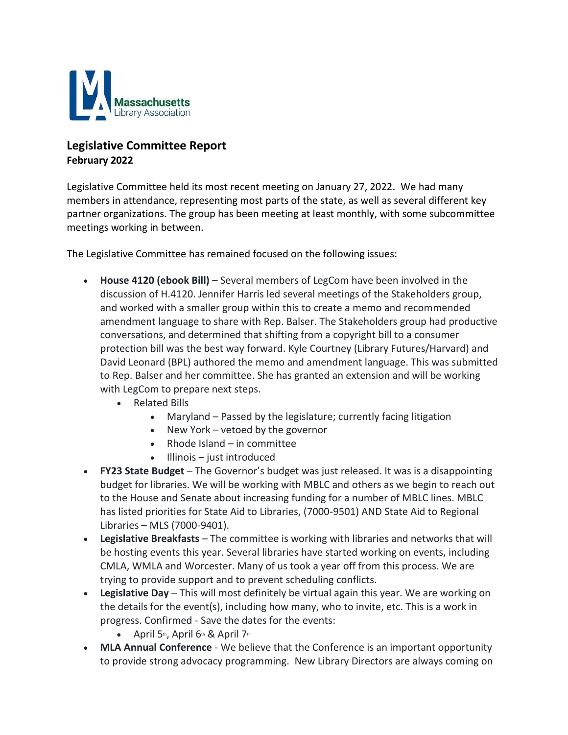

## **Legislative Committee Report February 2022**

Legislative Committee held its most recent meeting on January 27, 2022. We had many members in attendance, representing most parts of the state, as well as several different key partner organizations. The group has been meeting at least monthly, with some subcommittee meetings working in between.

The Legislative Committee has remained focused on the following issues:

- **House 4120 (ebook Bill)** Several members of LegCom have been involved in the discussion of H.4120. Jennifer Harris led several meetings of the Stakeholders group, and worked with a smaller group within this to create a memo and recommended amendment language to share with Rep. Balser. The Stakeholders group had productive conversations, and determined that shifting from a copyright bill to a consumer protection bill was the best way forward. Kyle Courtney (Library Futures/Harvard) and David Leonard (BPL) authored the memo and amendment language. This was submitted to Rep. Balser and her committee. She has granted an extension and will be working with LegCom to prepare next steps.
	- Related Bills
		- Maryland Passed by the legislature; currently facing litigation
		- New York vetoed by the governor
		- Rhode Island  $-$  in committee
		- Illinois just introduced
- **FY23 State Budget** The Governor's budget was just released. It was is a disappointing budget for libraries. We will be working with MBLC and others as we begin to reach out to the House and Senate about increasing funding for a number of MBLC lines. MBLC has listed priorities for State Aid to Libraries, (7000-9501) AND State Aid to Regional Libraries – MLS (7000-9401).
- **Legislative Breakfasts** The committee is working with libraries and networks that will be hosting events this year. Several libraries have started working on events, including CMLA, WMLA and Worcester. Many of us took a year off from this process. We are trying to provide support and to prevent scheduling conflicts.
- **Legislative Day** This will most definitely be virtual again this year. We are working on the details for the event(s), including how many, who to invite, etc. This is a work in progress. Confirmed - Save the dates for the events:
	- April  $5<sup>th</sup>$ , April  $6<sup>th</sup>$  & April  $7<sup>th</sup>$
- **MLA Annual Conference** We believe that the Conference is an important opportunity to provide strong advocacy programming. New Library Directors are always coming on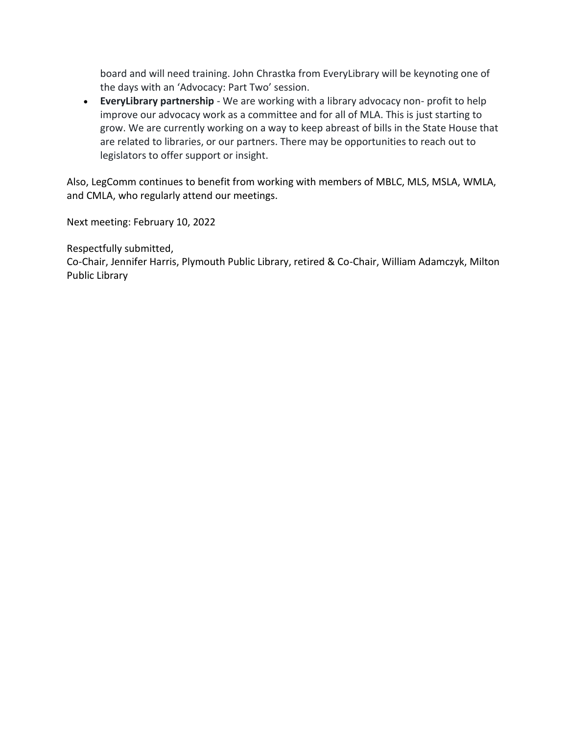board and will need training. John Chrastka from EveryLibrary will be keynoting one of the days with an 'Advocacy: Part Two' session.

• **EveryLibrary partnership** - We are working with a library advocacy non- profit to help improve our advocacy work as a committee and for all of MLA. This is just starting to grow. We are currently working on a way to keep abreast of bills in the State House that are related to libraries, or our partners. There may be opportunities to reach out to legislators to offer support or insight.

Also, LegComm continues to benefit from working with members of MBLC, MLS, MSLA, WMLA, and CMLA, who regularly attend our meetings.

Next meeting: February 10, 2022

Respectfully submitted,

Co-Chair, Jennifer Harris, Plymouth Public Library, retired & Co-Chair, William Adamczyk, Milton Public Library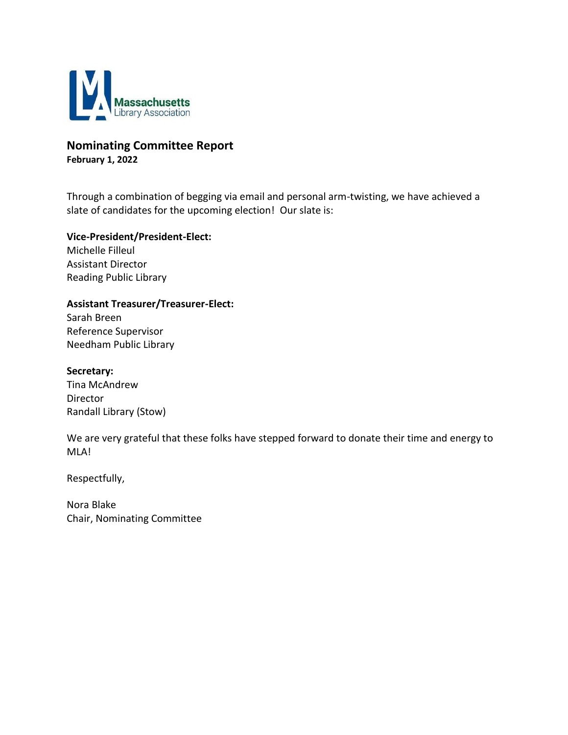

#### **Nominating Committee Report February 1, 2022**

Through a combination of begging via email and personal arm-twisting, we have achieved a slate of candidates for the upcoming election! Our slate is:

**Vice-President/President-Elect:**

Michelle Filleul Assistant Director Reading Public Library

#### **Assistant Treasurer/Treasurer-Elect:**

Sarah Breen Reference Supervisor Needham Public Library

**Secretary:**

Tina McAndrew Director Randall Library (Stow)

We are very grateful that these folks have stepped forward to donate their time and energy to MLA!

Respectfully,

Nora Blake Chair, Nominating Committee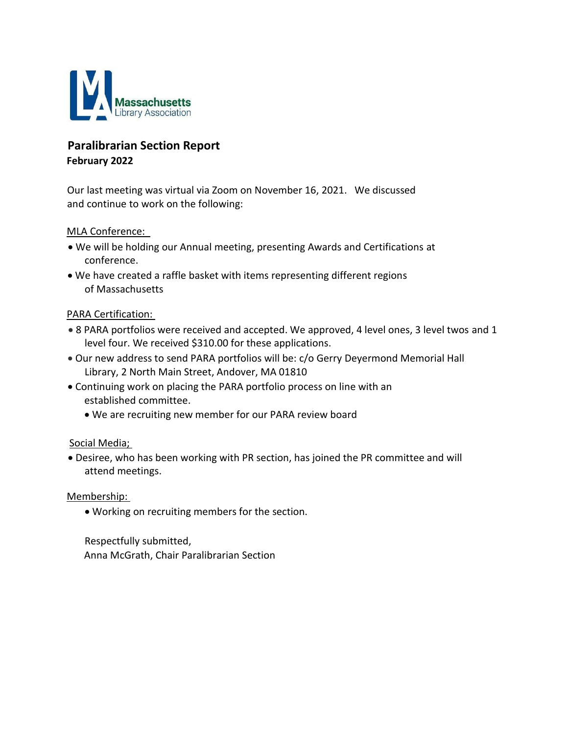

## **Paralibrarian Section Report February 2022**

Our last meeting was virtual via Zoom on November 16, 2021.   We discussed and continue to work on the following:

#### MLA Conference:

- We will be holding our Annual meeting, presenting Awards and Certifications at conference.
- We have created a raffle basket with items representing different regions of Massachusetts

#### PARA Certification:

- 8 PARA portfolios were received and accepted. We approved, 4 level ones, 3 level twos and 1 level four. We received \$310.00 for these applications.
- Our new address to send PARA portfolios will be: c/o Gerry Deyermond Memorial Hall Library, 2 North Main Street, Andover, MA 01810
- Continuing work on placing the PARA portfolio process on line with an established committee.
	- We are recruiting new member for our PARA review board

#### Social Media;

• Desiree, who has been working with PR section, has joined the PR committee and will attend meetings.

#### Membership:

• Working on recruiting members for the section.

Respectfully submitted,     Anna McGrath, Chair Paralibrarian Section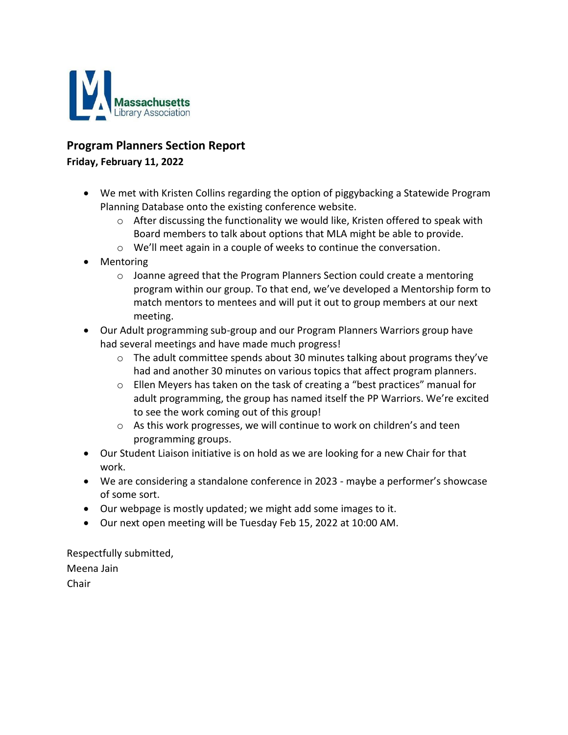

### **Program Planners Section Report**

#### **Friday, February 11, 2022**

- We met with Kristen Collins regarding the option of piggybacking a Statewide Program Planning Database onto the existing conference website.
	- $\circ$  After discussing the functionality we would like, Kristen offered to speak with Board members to talk about options that MLA might be able to provide.
	- $\circ$  We'll meet again in a couple of weeks to continue the conversation.
- Mentoring
	- o Joanne agreed that the Program Planners Section could create a mentoring program within our group. To that end, we've developed a Mentorship form to match mentors to mentees and will put it out to group members at our next meeting.
- Our Adult programming sub-group and our Program Planners Warriors group have had several meetings and have made much progress!
	- $\circ$  The adult committee spends about 30 minutes talking about programs they've had and another 30 minutes on various topics that affect program planners.
	- $\circ$  Ellen Meyers has taken on the task of creating a "best practices" manual for adult programming, the group has named itself the PP Warriors. We're excited to see the work coming out of this group!
	- o As this work progresses, we will continue to work on children's and teen programming groups.
- Our Student Liaison initiative is on hold as we are looking for a new Chair for that work.
- We are considering a standalone conference in 2023 maybe a performer's showcase of some sort.
- Our webpage is mostly updated; we might add some images to it.
- Our next open meeting will be Tuesday Feb 15, 2022 at 10:00 AM.

Respectfully submitted, Meena Jain Chair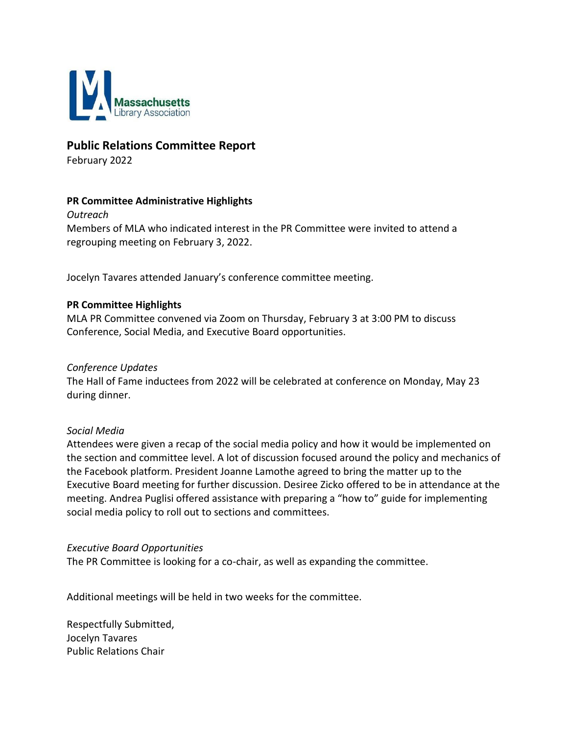

#### **Public Relations Committee Report**

February 2022

#### **PR Committee Administrative Highlights**

*Outreach* Members of MLA who indicated interest in the PR Committee were invited to attend a regrouping meeting on February 3, 2022.

Jocelyn Tavares attended January's conference committee meeting.

#### **PR Committee Highlights**

MLA PR Committee convened via Zoom on Thursday, February 3 at 3:00 PM to discuss Conference, Social Media, and Executive Board opportunities.

#### *Conference Updates*

The Hall of Fame inductees from 2022 will be celebrated at conference on Monday, May 23 during dinner.

#### *Social Media*

Attendees were given a recap of the social media policy and how it would be implemented on the section and committee level. A lot of discussion focused around the policy and mechanics of the Facebook platform. President Joanne Lamothe agreed to bring the matter up to the Executive Board meeting for further discussion. Desiree Zicko offered to be in attendance at the meeting. Andrea Puglisi offered assistance with preparing a "how to" guide for implementing social media policy to roll out to sections and committees.

#### *Executive Board Opportunities*

The PR Committee is looking for a co-chair, as well as expanding the committee.

Additional meetings will be held in two weeks for the committee.

Respectfully Submitted, [Jocelyn Tavares](mailto:JTavares@sailsinc.org) Public Relations Chair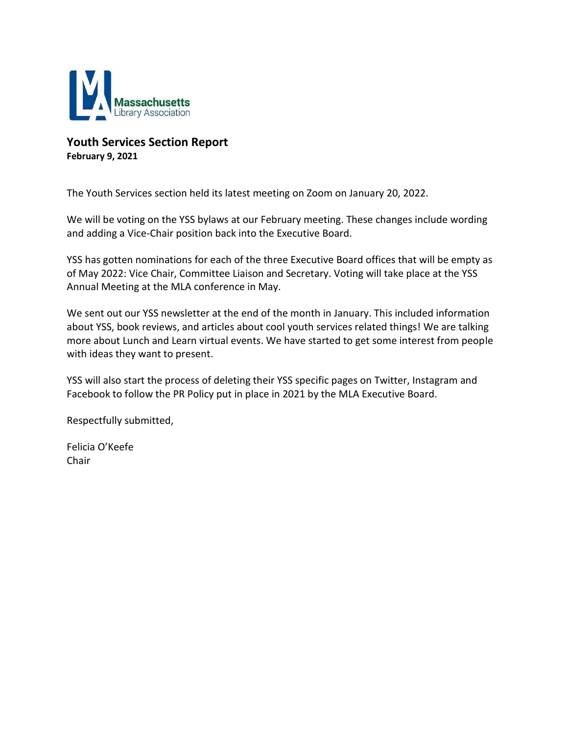

#### **Youth Services Section Report February 9, 2021**

The Youth Services section held its latest meeting on Zoom on January 20, 2022.

We will be voting on the YSS bylaws at our February meeting. These changes include wording and adding a Vice-Chair position back into the Executive Board.

YSS has gotten nominations for each of the three Executive Board offices that will be empty as of May 2022: Vice Chair, Committee Liaison and Secretary. Voting will take place at the YSS Annual Meeting at the MLA conference in May.

We sent out our YSS newsletter at the end of the month in January. This included information about YSS, book reviews, and articles about cool youth services related things! We are talking more about Lunch and Learn virtual events. We have started to get some interest from people with ideas they want to present.

YSS will also start the process of deleting their YSS specific pages on Twitter, Instagram and Facebook to follow the PR Policy put in place in 2021 by the MLA Executive Board.

Respectfully submitted,

Felicia O'Keefe Chair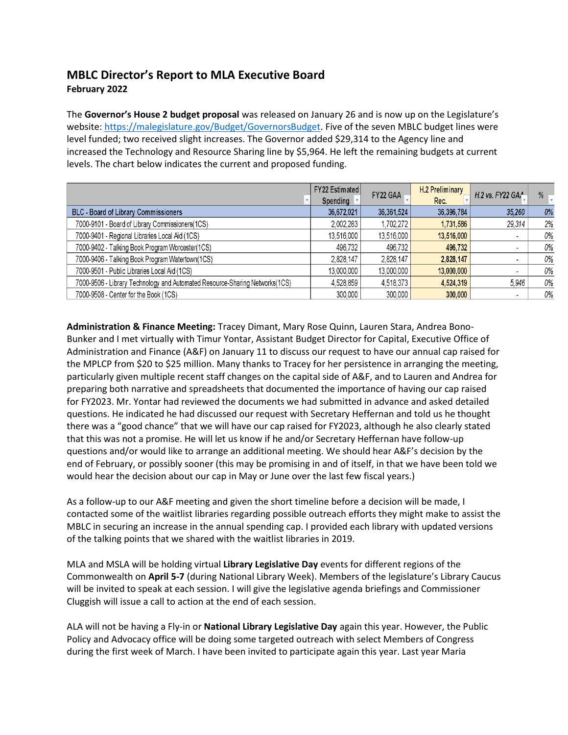## **MBLC Director's Report to MLA Executive Board February 2022**

The **Governor's House 2 budget proposal** was released on January 26 and is now up on the Legislature's website[: https://malegislature.gov/Budget/GovernorsBudget.](https://malegislature.gov/Budget/GovernorsBudget) Five of the seven MBLC budget lines were level funded; two received slight increases. The Governor added \$29,314 to the Agency line and increased the Technology and Resource Sharing line by \$5,964. He left the remaining budgets at current levels. The chart below indicates the current and proposed funding.

|                                                                             | FY22 Estimated<br>Spending * | FY22 GAA   | <b>H.2 Preliminary</b><br>Rec. | H.2 vs. FY22 GAA         | %  |
|-----------------------------------------------------------------------------|------------------------------|------------|--------------------------------|--------------------------|----|
| BLC - Board of Library Commissioners                                        | 36,672,021                   | 36,361,524 | 36,396,784                     | 35,260                   | 0% |
| 7000-9101 - Board of Library Commissioners(1CS)                             | 2,002,283                    | 1,702,272  | 1,731,586                      | 29,314                   | 2% |
| 7000-9401 - Regional Libraries Local Aid (1CS)                              | 13,516,000                   | 13,516,000 | 13,516,000                     |                          | 0% |
| 7000-9402 - Talking Book Program Worcester(1CS)                             | 496,732                      | 496,732    | 496,732                        | ۰                        | 0% |
| 7000-9406 - Talking Book Program Watertown(1CS)                             | 2,828,147                    | 2,828,147  | 2,828,147                      |                          | 0% |
| 7000-9501 - Public Libraries Local Aid (1CS)                                | 13,000,000                   | 13,000,000 | 13,000,000                     | $\overline{\phantom{a}}$ | 0% |
| 7000-9506 - Library Technology and Automated Resource-Sharing Networks(1CS) | 4,528,859                    | 4,518,373  | 4,524,319                      | 5.946                    | 0% |
| 7000-9508 - Center for the Book (1CS)                                       | 300,000                      | 300,000    | 300,000                        |                          | 0% |

**Administration & Finance Meeting:** Tracey Dimant, Mary Rose Quinn, Lauren Stara, Andrea Bono-Bunker and I met virtually with Timur Yontar, Assistant Budget Director for Capital, Executive Office of Administration and Finance (A&F) on January 11 to discuss our request to have our annual cap raised for the MPLCP from \$20 to \$25 million. Many thanks to Tracey for her persistence in arranging the meeting, particularly given multiple recent staff changes on the capital side of A&F, and to Lauren and Andrea for preparing both narrative and spreadsheets that documented the importance of having our cap raised for FY2023. Mr. Yontar had reviewed the documents we had submitted in advance and asked detailed questions. He indicated he had discussed our request with Secretary Heffernan and told us he thought there was a "good chance" that we will have our cap raised for FY2023, although he also clearly stated that this was not a promise. He will let us know if he and/or Secretary Heffernan have follow-up questions and/or would like to arrange an additional meeting. We should hear A&F's decision by the end of February, or possibly sooner (this may be promising in and of itself, in that we have been told we would hear the decision about our cap in May or June over the last few fiscal years.)

As a follow-up to our A&F meeting and given the short timeline before a decision will be made, I contacted some of the waitlist libraries regarding possible outreach efforts they might make to assist the MBLC in securing an increase in the annual spending cap. I provided each library with updated versions of the talking points that we shared with the waitlist libraries in 2019.

MLA and MSLA will be holding virtual **Library Legislative Day** events for different regions of the Commonwealth on **April 5-7** (during National Library Week). Members of the legislature's Library Caucus will be invited to speak at each session. I will give the legislative agenda briefings and Commissioner Cluggish will issue a call to action at the end of each session.

ALA will not be having a Fly-in or **National Library Legislative Day** again this year. However, the Public Policy and Advocacy office will be doing some targeted outreach with select Members of Congress during the first week of March. I have been invited to participate again this year. Last year Maria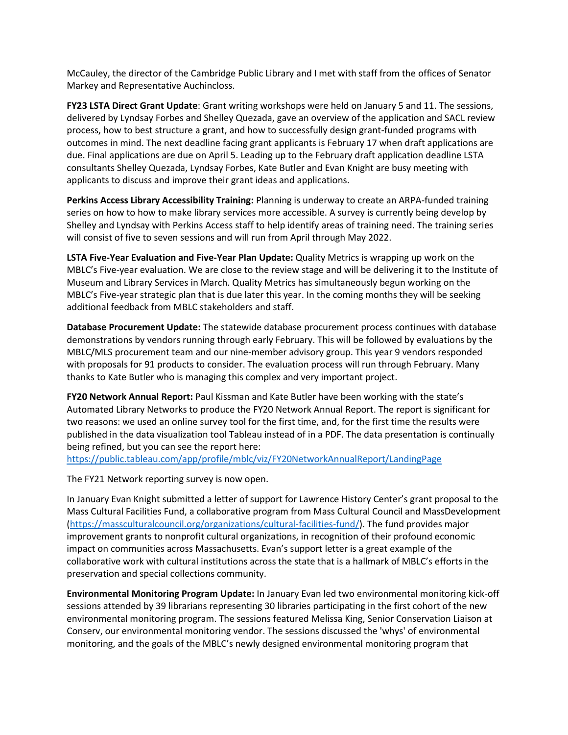McCauley, the director of the Cambridge Public Library and I met with staff from the offices of Senator Markey and Representative Auchincloss.

**FY23 LSTA Direct Grant Update**: Grant writing workshops were held on January 5 and 11. The sessions, delivered by Lyndsay Forbes and Shelley Quezada, gave an overview of the application and SACL review process, how to best structure a grant, and how to successfully design grant-funded programs with outcomes in mind. The next deadline facing grant applicants is February 17 when draft applications are due. Final applications are due on April 5. Leading up to the February draft application deadline LSTA consultants Shelley Quezada, Lyndsay Forbes, Kate Butler and Evan Knight are busy meeting with applicants to discuss and improve their grant ideas and applications.

**Perkins Access Library Accessibility Training:** Planning is underway to create an ARPA-funded training series on how to how to make library services more accessible. A survey is currently being develop by Shelley and Lyndsay with Perkins Access staff to help identify areas of training need. The training series will consist of five to seven sessions and will run from April through May 2022.

**LSTA Five-Year Evaluation and Five-Year Plan Update:** Quality Metrics is wrapping up work on the MBLC's Five-year evaluation. We are close to the review stage and will be delivering it to the Institute of Museum and Library Services in March. Quality Metrics has simultaneously begun working on the MBLC's Five-year strategic plan that is due later this year. In the coming months they will be seeking additional feedback from MBLC stakeholders and staff.

**Database Procurement Update:** The statewide database procurement process continues with database demonstrations by vendors running through early February. This will be followed by evaluations by the MBLC/MLS procurement team and our nine-member advisory group. This year 9 vendors responded with proposals for 91 products to consider. The evaluation process will run through February. Many thanks to Kate Butler who is managing this complex and very important project.

**FY20 Network Annual Report:** Paul Kissman and Kate Butler have been working with the state's Automated Library Networks to produce the FY20 Network Annual Report. The report is significant for two reasons: we used an online survey tool for the first time, and, for the first time the results were published in the data visualization tool Tableau instead of in a PDF. The data presentation is continually being refined, but you can see the report here:

<https://public.tableau.com/app/profile/mblc/viz/FY20NetworkAnnualReport/LandingPage>

The FY21 Network reporting survey is now open.

In January Evan Knight submitted a letter of support for Lawrence History Center's grant proposal to the Mass Cultural Facilities Fund, a collaborative program from Mass Cultural Council and MassDevelopment [\(https://massculturalcouncil.org/organizations/cultural-facilities-fund/\)](https://massculturalcouncil.org/organizations/cultural-facilities-fund/). The fund provides major improvement grants to nonprofit cultural organizations, in recognition of their profound economic impact on communities across Massachusetts. Evan's support letter is a great example of the collaborative work with cultural institutions across the state that is a hallmark of MBLC's efforts in the preservation and special collections community.

**Environmental Monitoring Program Update:** In January Evan led two environmental monitoring kick-off sessions attended by 39 librarians representing 30 libraries participating in the first cohort of the new environmental monitoring program. The sessions featured Melissa King, Senior Conservation Liaison at Conserv, our environmental monitoring vendor. The sessions discussed the 'whys' of environmental monitoring, and the goals of the MBLC's newly designed environmental monitoring program that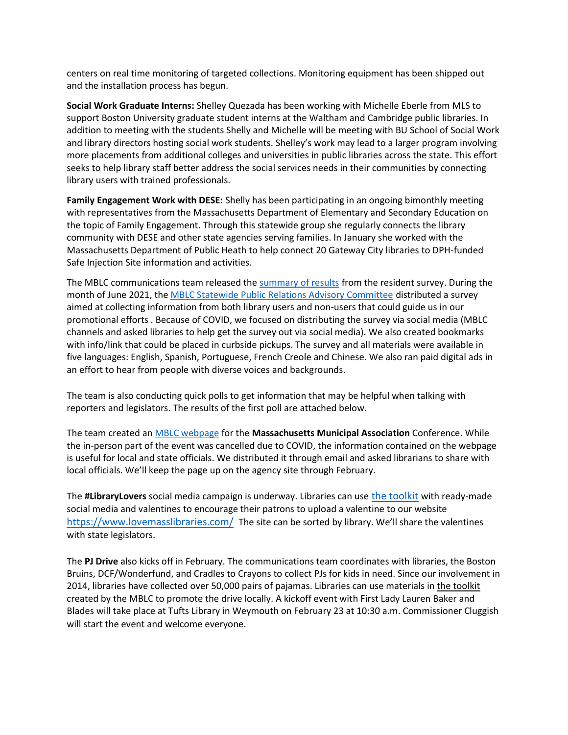centers on real time monitoring of targeted collections. Monitoring equipment has been shipped out and the installation process has begun.

**Social Work Graduate Interns:** Shelley Quezada has been working with Michelle Eberle from MLS to support Boston University graduate student interns at the Waltham and Cambridge public libraries. In addition to meeting with the students Shelly and Michelle will be meeting with BU School of Social Work and library directors hosting social work students. Shelley's work may lead to a larger program involving more placements from additional colleges and universities in public libraries across the state. This effort seeks to help library staff better address the social services needs in their communities by connecting library users with trained professionals.

**Family Engagement Work with DESE:** Shelly has been participating in an ongoing bimonthly meeting with representatives from the Massachusetts Department of Elementary and Secondary Education on the topic of Family Engagement. Through this statewide group she regularly connects the library community with DESE and other state agencies serving families. In January she worked with the Massachusetts Department of Public Heath to help connect 20 Gateway City libraries to DPH-funded Safe Injection Site information and activities.

The MBLC communications team released the [summary of results](https://mblc-newsroom-static.s3.amazonaws.com/collateral/official-docs/mblc/61c78912_2021-resident-survey-about-library-usage-and-attitudes_download.pdf) from the resident survey. During the month of June 2021, the [MBLC Statewide Public Relations Advisory Committee](https://urldefense.com/v3/__https:/nam11.safelinks.protection.outlook.com/?url=https*3A*2F*2Fmblc.state.ma.us*2Fprograms-and-support*2Fpromotion*2Fpr-committee.php&data=04*7C01*7Ccchaudhri*40bpl.org*7Cadbc0efc5f8c4fbe124a08d9dd1d4146*7Cfa735c71d7954c01b0ae09fa7415b2b1*7C0*7C0*7C637783940004703478*7CUnknown*7CTWFpbGZsb3d8eyJWIjoiMC4wLjAwMDAiLCJQIjoiV2luMzIiLCJBTiI6Ik1haWwiLCJXVCI6Mn0*3D*7C3000&sdata=Tw5VgPYwHJ92ZvJjPXKXGr2OONEQCDE2FdgyqgF4hOI*3D&reserved=0__;JSUlJSUlJSUlJSUlJSUlJSUlJQ!!CUhgQOZqV7M!0JlnBvSbxXDnPrbcZ07FY1ohPs9BvuKZRBbArE8Bzbu7Rt6cvvEcAsdfAbyIFGaIKFea2A$) distributed a survey aimed at collecting information from both library users and non-users that could guide us in our promotional efforts . Because of COVID, we focused on distributing the survey via social media (MBLC channels and asked libraries to help get the survey out via social media). We also created bookmarks with info/link that could be placed in curbside pickups. The survey and all materials were available in five languages: English, Spanish, Portuguese, French Creole and Chinese. We also ran paid digital ads in an effort to hear from people with diverse voices and backgrounds.

The team is also conducting quick polls to get information that may be helpful when talking with reporters and legislators. The results of the first poll are attached below.

The team created an [MBLC webpage](https://mblc.state.ma.us/for/mma.php) for the **Massachusetts Municipal Association** Conference. While the in-person part of the event was cancelled due to COVID, the information contained on the webpage is useful for local and state officials. We distributed it through email and asked librarians to share with local officials. We'll keep the page up on the agency site through February.

The **#LibraryLovers** social media campaign is underway. Libraries can use [the toolkit](https://awarehouse.mblc.state.ma.us/collateral/campaigns/library-lovers/) with ready-made social media and valentines to encourage their patrons to upload a valentine to our website <https://www.lovemasslibraries.com/> The site can be sorted by library. We'll share the valentines with state legislators.

The **PJ Drive** also kicks off in February. The communications team coordinates with libraries, the Boston Bruins, DCF/Wonderfund, and Cradles to Crayons to collect PJs for kids in need. Since our involvement in 2014, libraries have collected over 50,000 pairs of pajamas. Libraries can use materials in [the toolkit](https://awarehouse.mblc.state.ma.us/collateral/programs/bruins-pj-drive/bruins-qr-code-for-direct-pj-drive-donation/) created by the MBLC to promote the drive locally. A kickoff event with First Lady Lauren Baker and Blades will take place at Tufts Library in Weymouth on February 23 at 10:30 a.m. Commissioner Cluggish will start the event and welcome everyone.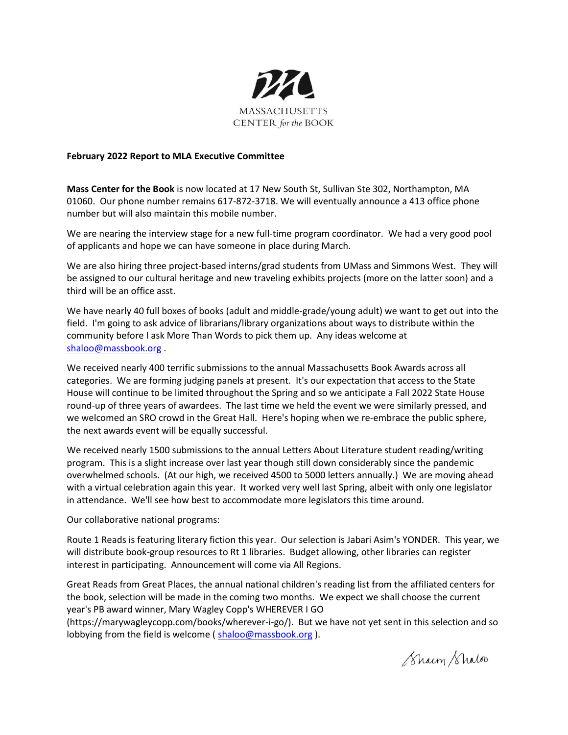

#### **February 2022 Report to MLA Executive Committee**

**Mass Center for the Book** is now located at 17 New South St, Sullivan Ste 302, Northampton, MA 01060. Our phone number remains 617-872-3718. We will eventually announce a 413 office phone number but will also maintain this mobile number.

We are nearing the interview stage for a new full-time program coordinator. We had a very good pool of applicants and hope we can have someone in place during March.

We are also hiring three project-based interns/grad students from UMass and Simmons West. They will be assigned to our cultural heritage and new traveling exhibits projects (more on the latter soon) and a third will be an office asst.

We have nearly 40 full boxes of books (adult and middle-grade/young adult) we want to get out into the field. I'm going to ask advice of librarians/library organizations about ways to distribute within the community before I ask More Than Words to pick them up. Any ideas welcome at [shaloo@massbook.org](mailto:shaloo@massbook.org) .

We received nearly 400 terrific submissions to the annual Massachusetts Book Awards across all categories. We are forming judging panels at present. It's our expectation that access to the State House will continue to be limited throughout the Spring and so we anticipate a Fall 2022 State House round-up of three years of awardees. The last time we held the event we were similarly pressed, and we welcomed an SRO crowd in the Great Hall. Here's hoping when we re-embrace the public sphere, the next awards event will be equally successful.

We received nearly 1500 submissions to the annual Letters About Literature student reading/writing program. This is a slight increase over last year though still down considerably since the pandemic overwhelmed schools. (At our high, we received 4500 to 5000 letters annually.) We are moving ahead with a virtual celebration again this year. It worked very well last Spring, albeit with only one legislator in attendance. We'll see how best to accommodate more legislators this time around.

Our collaborative national programs:

Route 1 Reads is featuring literary fiction this year. Our selection is Jabari Asim's YONDER. This year, we will distribute book-group resources to Rt 1 libraries. Budget allowing, other libraries can register interest in participating. Announcement will come via All Regions.

Great Reads from Great Places, the annual national children's reading list from the affiliated centers for the book, selection will be made in the coming two months. We expect we shall choose the current year's PB award winner, Mary Wagley Copp's WHEREVER I GO

(https://marywagleycopp.com/books/wherever-i-go/). But we have not yet sent in this selection and so lobbying from the field is welcome (shaloo@massbook.org).

Sharm Shaloo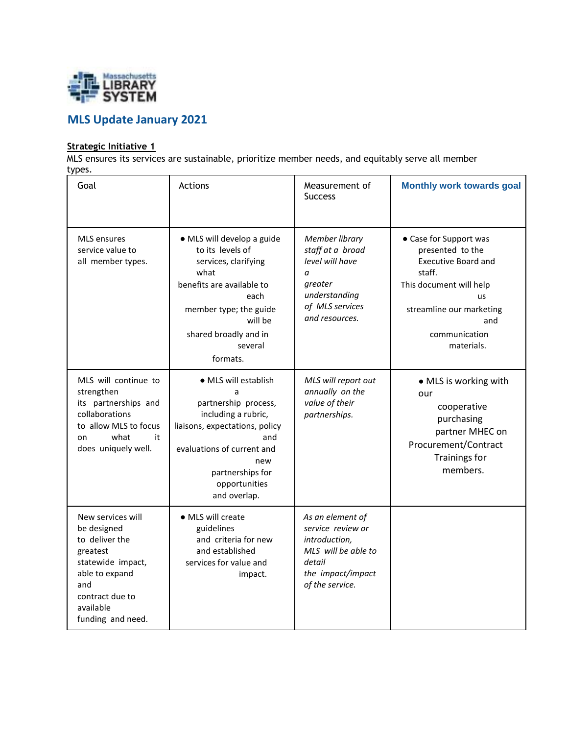

## **MLS Update January 2021**

#### **Strategic Initiative 1**

MLS ensures its services are sustainable, prioritize member needs, and equitably serve all member types.

| Goal                                                                                                                                                              | Actions                                                                                                                                                                                                     | Measurement of<br><b>Success</b>                                                                                                | <b>Monthly work towards goal</b>                                                                                                                                                             |
|-------------------------------------------------------------------------------------------------------------------------------------------------------------------|-------------------------------------------------------------------------------------------------------------------------------------------------------------------------------------------------------------|---------------------------------------------------------------------------------------------------------------------------------|----------------------------------------------------------------------------------------------------------------------------------------------------------------------------------------------|
| <b>MLS</b> ensures<br>service value to<br>all member types.                                                                                                       | · MLS will develop a guide<br>to its levels of<br>services, clarifying<br>what<br>benefits are available to<br>each<br>member type; the guide<br>will be<br>shared broadly and in<br>several<br>formats.    | Member library<br>staff at a broad<br>level will have<br>a<br>greater<br>understanding<br>of MLS services<br>and resources.     | • Case for Support was<br>presented to the<br><b>Executive Board and</b><br>staff.<br>This document will help<br><b>us</b><br>streamline our marketing<br>and<br>communication<br>materials. |
| MLS will continue to<br>strengthen<br>its partnerships and<br>collaborations<br>to allow MLS to focus<br>what<br>it<br>on<br>does uniquely well.                  | · MLS will establish<br>a<br>partnership process,<br>including a rubric,<br>liaisons, expectations, policy<br>and<br>evaluations of current and<br>new<br>partnerships for<br>opportunities<br>and overlap. | MLS will report out<br>annually on the<br>value of their<br>partnerships.                                                       | • MLS is working with<br>our<br>cooperative<br>purchasing<br>partner MHEC on<br>Procurement/Contract<br>Trainings for<br>members.                                                            |
| New services will<br>be designed<br>to deliver the<br>greatest<br>statewide impact,<br>able to expand<br>and<br>contract due to<br>available<br>funding and need. | · MLS will create<br>guidelines<br>and criteria for new<br>and established<br>services for value and<br>impact.                                                                                             | As an element of<br>service review or<br>introduction,<br>MLS will be able to<br>detail<br>the impact/impact<br>of the service. |                                                                                                                                                                                              |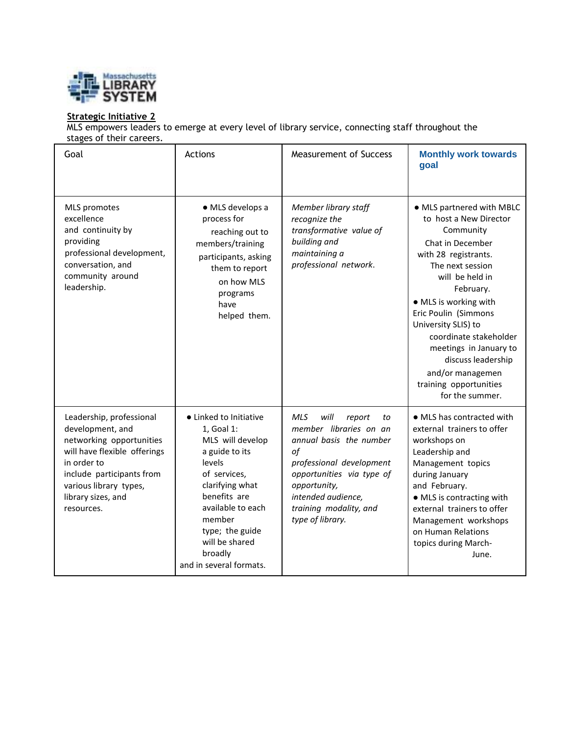

#### **Strategic Initiative 2**

MLS empowers leaders to emerge at every level of library service, connecting staff throughout the stages of their careers.

| Goal                                                                                                                                                                                                               | Actions                                                                                                                                                                                                                                           | <b>Measurement of Success</b>                                                                                                                                                                                                              | <b>Monthly work towards</b><br>goal                                                                                                                                                                                                                                                                                                                                                 |
|--------------------------------------------------------------------------------------------------------------------------------------------------------------------------------------------------------------------|---------------------------------------------------------------------------------------------------------------------------------------------------------------------------------------------------------------------------------------------------|--------------------------------------------------------------------------------------------------------------------------------------------------------------------------------------------------------------------------------------------|-------------------------------------------------------------------------------------------------------------------------------------------------------------------------------------------------------------------------------------------------------------------------------------------------------------------------------------------------------------------------------------|
| <b>MLS</b> promotes<br>excellence<br>and continuity by<br>providing<br>professional development,<br>conversation, and<br>community around<br>leadership.                                                           | · MLS develops a<br>process for<br>reaching out to<br>members/training<br>participants, asking<br>them to report<br>on how MLS<br>programs<br>have<br>helped them.                                                                                | Member library staff<br>recognize the<br>transformative value of<br>building and<br>maintaining a<br>professional network.                                                                                                                 | • MLS partnered with MBLC<br>to host a New Director<br>Community<br>Chat in December<br>with 28 registrants.<br>The next session<br>will be held in<br>February.<br>• MLS is working with<br>Eric Poulin (Simmons<br>University SLIS) to<br>coordinate stakeholder<br>meetings in January to<br>discuss leadership<br>and/or managemen<br>training opportunities<br>for the summer. |
| Leadership, professional<br>development, and<br>networking opportunities<br>will have flexible offerings<br>in order to<br>include participants from<br>various library types,<br>library sizes, and<br>resources. | • Linked to Initiative<br>1, Goal 1:<br>MLS will develop<br>a guide to its<br>levels<br>of services,<br>clarifying what<br>benefits are<br>available to each<br>member<br>type; the guide<br>will be shared<br>broadly<br>and in several formats. | <b>MLS</b><br>will<br>report<br>to<br>member libraries on an<br>annual basis the number<br>of<br>professional development<br>opportunities via type of<br>opportunity,<br>intended audience,<br>training modality, and<br>type of library. | • MLS has contracted with<br>external trainers to offer<br>workshops on<br>Leadership and<br>Management topics<br>during January<br>and February.<br>• MLS is contracting with<br>external trainers to offer<br>Management workshops<br>on Human Relations<br>topics during March-<br>June.                                                                                         |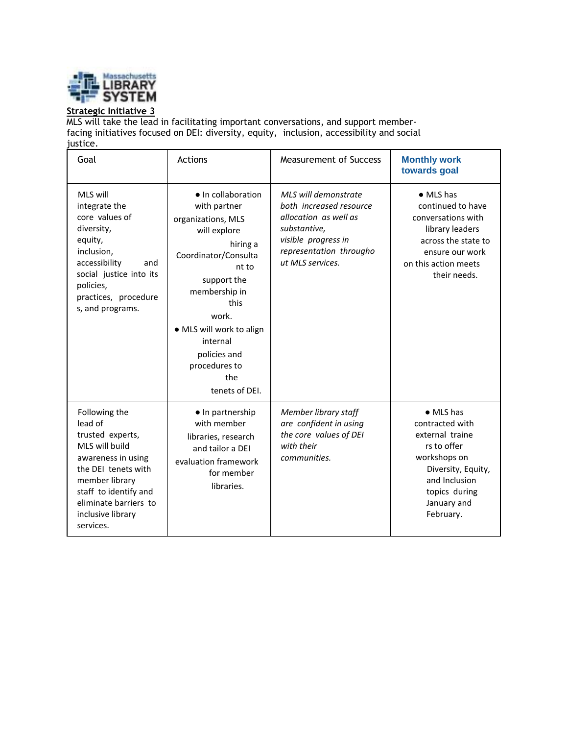

#### **Strategic Initiative 3**

MLS will take the lead in facilitating important conversations, and support memberfacing initiatives focused on DEI: diversity, equity, inclusion, accessibility and social justice.

| Goal                                                                                                                                                                                                              | Actions                                                                                                                                                                                                                                                                  | Measurement of Success                                                                                                                                         | <b>Monthly work</b><br>towards goal                                                                                                                                        |
|-------------------------------------------------------------------------------------------------------------------------------------------------------------------------------------------------------------------|--------------------------------------------------------------------------------------------------------------------------------------------------------------------------------------------------------------------------------------------------------------------------|----------------------------------------------------------------------------------------------------------------------------------------------------------------|----------------------------------------------------------------------------------------------------------------------------------------------------------------------------|
| MLS will<br>integrate the<br>core values of<br>diversity,<br>equity,<br>inclusion,<br>accessibility<br>and<br>social justice into its<br>policies,<br>practices, procedure<br>s, and programs.                    | • In collaboration<br>with partner<br>organizations, MLS<br>will explore<br>hiring a<br>Coordinator/Consulta<br>nt to<br>support the<br>membership in<br>this<br>work.<br>• MLS will work to align<br>internal<br>policies and<br>procedures to<br>the<br>tenets of DEI. | MLS will demonstrate<br>both increased resource<br>allocation as well as<br>substantive,<br>visible progress in<br>representation througho<br>ut MLS services. | $\bullet$ MLS has<br>continued to have<br>conversations with<br>library leaders<br>across the state to<br>ensure our work<br>on this action meets<br>their needs.          |
| Following the<br>lead of<br>trusted experts,<br>MLS will build<br>awareness in using<br>the DEI tenets with<br>member library<br>staff to identify and<br>eliminate barriers to<br>inclusive library<br>services. | • In partnership<br>with member<br>libraries, research<br>and tailor a DEI<br>evaluation framework<br>for member<br>libraries.                                                                                                                                           | Member library staff<br>are confident in using<br>the core values of DEI<br>with their<br>communities.                                                         | $\bullet$ MLS has<br>contracted with<br>external traine<br>rs to offer<br>workshops on<br>Diversity, Equity,<br>and Inclusion<br>topics during<br>January and<br>February. |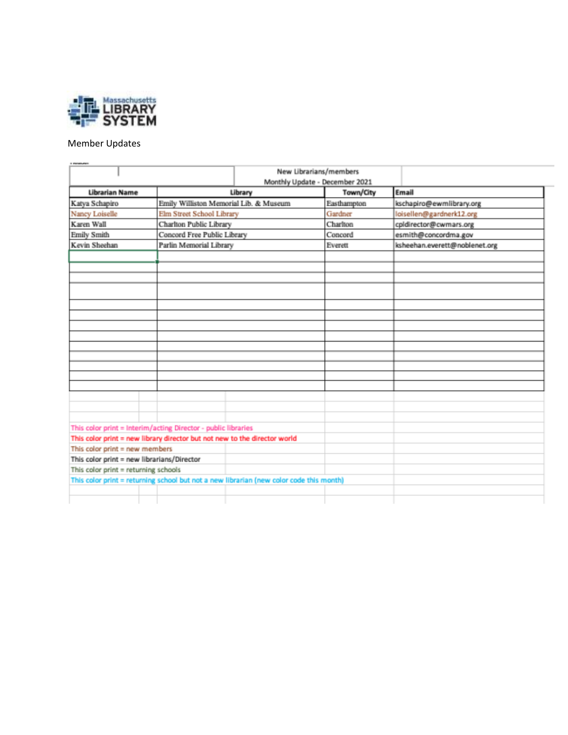

#### Member Updates

| <b>I Dealer</b>                            |                                                                           | New Librarians/members<br>Monthly Update - December 2021                                |             |                               |
|--------------------------------------------|---------------------------------------------------------------------------|-----------------------------------------------------------------------------------------|-------------|-------------------------------|
| <b>Librarian Name</b>                      |                                                                           | Library                                                                                 | Town/City   | Email                         |
| Katya Schapiro                             | Emily Williston Memorial Lib. & Museum                                    |                                                                                         | Easthampton | kschapiro@ewmlibrary.org      |
| Nancy Loiselle                             | Elm Street School Library                                                 |                                                                                         | Gardner     | loisellen@gardnerk12.org      |
| Karen Wall                                 | Charlton Public Library                                                   |                                                                                         | Charlton    | cpldirector@cwmars.org        |
| Emily Smith                                | Concord Free Public Library                                               |                                                                                         | Concord     | esmith@concordma.gov          |
| Kevin Sheehan                              | Parlin Memorial Library                                                   |                                                                                         | Everett     | ksheehan.everett@noblenet.org |
|                                            |                                                                           |                                                                                         |             |                               |
|                                            |                                                                           |                                                                                         |             |                               |
|                                            |                                                                           |                                                                                         |             |                               |
|                                            |                                                                           |                                                                                         |             |                               |
|                                            |                                                                           |                                                                                         |             |                               |
|                                            |                                                                           |                                                                                         |             |                               |
|                                            |                                                                           |                                                                                         |             |                               |
|                                            |                                                                           |                                                                                         |             |                               |
|                                            |                                                                           |                                                                                         |             |                               |
|                                            |                                                                           |                                                                                         |             |                               |
|                                            |                                                                           |                                                                                         |             |                               |
|                                            |                                                                           |                                                                                         |             |                               |
|                                            |                                                                           |                                                                                         |             |                               |
|                                            |                                                                           |                                                                                         |             |                               |
|                                            |                                                                           |                                                                                         |             |                               |
|                                            |                                                                           |                                                                                         |             |                               |
|                                            | This color print = Interim/acting Director - public libraries             |                                                                                         |             |                               |
|                                            | This color print = new library director but not new to the director world |                                                                                         |             |                               |
| This color print = new members             |                                                                           |                                                                                         |             |                               |
| This color print = new librarians/Director |                                                                           |                                                                                         |             |                               |
| This color print = returning schools       |                                                                           |                                                                                         |             |                               |
|                                            |                                                                           | This color print = returning school but not a new librarian (new color code this month) |             |                               |
|                                            |                                                                           |                                                                                         |             |                               |
|                                            |                                                                           |                                                                                         |             |                               |